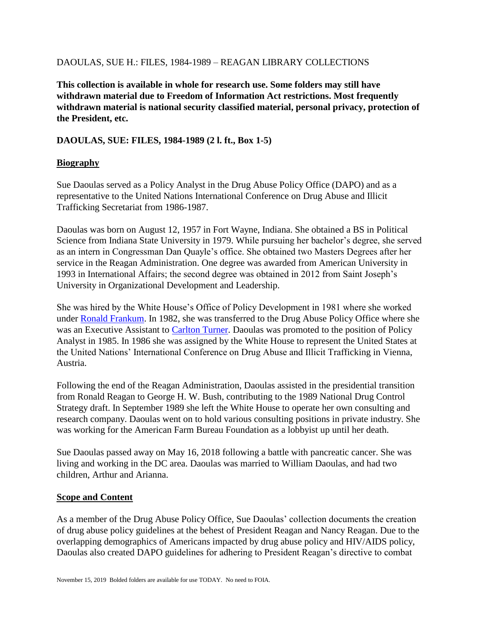### DAOULAS, SUE H.: FILES, 1984-1989 – REAGAN LIBRARY COLLECTIONS

**This collection is available in whole for research use. Some folders may still have withdrawn material due to Freedom of Information Act restrictions. Most frequently withdrawn material is national security classified material, personal privacy, protection of the President, etc.**

## **DAOULAS, SUE: FILES, 1984-1989 (2 l. ft., Box 1-5)**

### **Biography**

Sue Daoulas served as a Policy Analyst in the Drug Abuse Policy Office (DAPO) and as a representative to the United Nations International Conference on Drug Abuse and Illicit Trafficking Secretariat from 1986-1987.

Daoulas was born on August 12, 1957 in Fort Wayne, Indiana. She obtained a BS in Political Science from Indiana State University in 1979. While pursuing her bachelor's degree, she served as an intern in Congressman Dan Quayle's office. She obtained two Masters Degrees after her service in the Reagan Administration. One degree was awarded from American University in 1993 in International Affairs; the second degree was obtained in 2012 from Saint Joseph's University in Organizational Development and Leadership.

She was hired by the White House's Office of Policy Development in 1981 where she worked under [Ronald Frankum.](https://www.reaganlibrary.gov/sites/default/files/archives/textual/smof/frankum1.pdf) In 1982, she was transferred to the Drug Abuse Policy Office where she was an Executive Assistant to [Carlton Turner.](https://www.reaganlibrary.gov/sites/default/files/archives/textual/smof/turnerc.pdf) Daoulas was promoted to the position of Policy Analyst in 1985. In 1986 she was assigned by the White House to represent the United States at the United Nations' International Conference on Drug Abuse and Illicit Trafficking in Vienna, Austria.

Following the end of the Reagan Administration, Daoulas assisted in the presidential transition from Ronald Reagan to George H. W. Bush, contributing to the 1989 National Drug Control Strategy draft. In September 1989 she left the White House to operate her own consulting and research company. Daoulas went on to hold various consulting positions in private industry. She was working for the American Farm Bureau Foundation as a lobbyist up until her death.

Sue Daoulas passed away on May 16, 2018 following a battle with pancreatic cancer. She was living and working in the DC area. Daoulas was married to William Daoulas, and had two children, Arthur and Arianna.

#### **Scope and Content**

As a member of the Drug Abuse Policy Office, Sue Daoulas' collection documents the creation of drug abuse policy guidelines at the behest of President Reagan and Nancy Reagan. Due to the overlapping demographics of Americans impacted by drug abuse policy and HIV/AIDS policy, Daoulas also created DAPO guidelines for adhering to President Reagan's directive to combat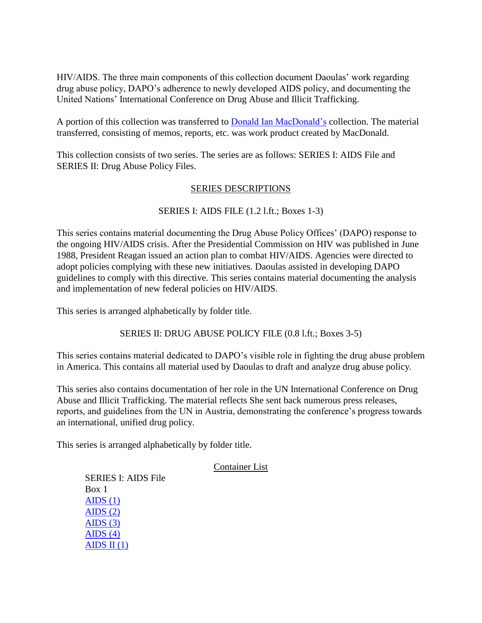HIV/AIDS. The three main components of this collection document Daoulas' work regarding drug abuse policy, DAPO's adherence to newly developed AIDS policy, and documenting the United Nations' International Conference on Drug Abuse and Illicit Trafficking.

A portion of this collection was transferred to [Donald Ian MacDonald's](https://www.reaganlibrary.gov/sites/default/files/archives/textual/smof/macdonal.pdf) collection. The material transferred, consisting of memos, reports, etc. was work product created by MacDonald.

This collection consists of two series. The series are as follows: SERIES I: AIDS File and SERIES II: Drug Abuse Policy Files.

# SERIES DESCRIPTIONS

# SERIES I: AIDS FILE (1.2 l.ft.; Boxes 1-3)

This series contains material documenting the Drug Abuse Policy Offices' (DAPO) response to the ongoing HIV/AIDS crisis. After the Presidential Commission on HIV was published in June 1988, President Reagan issued an action plan to combat HIV/AIDS. Agencies were directed to adopt policies complying with these new initiatives. Daoulas assisted in developing DAPO guidelines to comply with this directive. This series contains material documenting the analysis and implementation of new federal policies on HIV/AIDS.

This series is arranged alphabetically by folder title.

SERIES II: DRUG ABUSE POLICY FILE (0.8 l.ft.; Boxes 3-5)

This series contains material dedicated to DAPO's visible role in fighting the drug abuse problem in America. This contains all material used by Daoulas to draft and analyze drug abuse policy.

This series also contains documentation of her role in the UN International Conference on Drug Abuse and Illicit Trafficking. The material reflects She sent back numerous press releases, reports, and guidelines from the UN in Austria, demonstrating the conference's progress towards an international, unified drug policy.

This series is arranged alphabetically by folder title.

#### Container List

SERIES I: AIDS File Box 1  $AIDS(1)$ AIDS  $(2)$ AIDS  $(3)$ AIDS  $(4)$ AIDS II $(1)$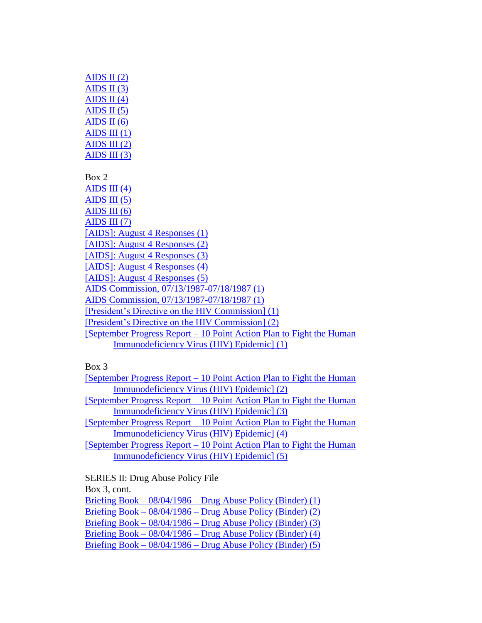AIDS II $(2)$ AIDS II $(3)$ AIDS II $(4)$ AIDS II $(5)$ AIDS II $(6)$  $\overline{\text{AIDS III} (1)}$ AIDS III $(2)$ AIDS III $(3)$ Box 2 AIDS III $(4)$ AIDS III $(5)$ AIDS III $(6)$ AIDS III $(7)$ [\[AIDS\]: August 4 Responses \(1\)](https://www.reaganlibrary.gov/sites/default/files/digitallibrary/smof/drugabusepolicyoffice/daoulas/box-002/40-129-137914774-002-005-2019.pdf) [\[AIDS\]: August 4 Responses \(2\)](https://www.reaganlibrary.gov/sites/default/files/digitallibrary/smof/drugabusepolicyoffice/daoulas/box-002/40-129-137914774-002-006-2019.pdf) [\[AIDS\]: August 4 Responses \(3\)](https://www.reaganlibrary.gov/sites/default/files/digitallibrary/smof/drugabusepolicyoffice/daoulas/box-002/40-129-137914774-002-007-2019.pdf) [\[AIDS\]: August 4 Responses \(4\)](https://www.reaganlibrary.gov/sites/default/files/digitallibrary/smof/drugabusepolicyoffice/daoulas/box-002/40-129-137914774-002-008-2019.pdf) [\[AIDS\]: August 4 Responses \(5\)](https://www.reaganlibrary.gov/sites/default/files/digitallibrary/smof/drugabusepolicyoffice/daoulas/box-002/40-129-137914774-002-009-2019.pdf) [AIDS Commission, 07/13/1987-07/18/1987 \(1\)](https://www.reaganlibrary.gov/sites/default/files/digitallibrary/smof/drugabusepolicyoffice/daoulas/box-002/40-129-137914774-002-010-2019.pdf) [AIDS Commission, 07/13/1987-07/18/1987 \(1\)](https://www.reaganlibrary.gov/sites/default/files/digitallibrary/smof/drugabusepolicyoffice/daoulas/box-002/40-129-137914774-002-011-2019.pdf) [\[President's Directive on the HIV Commission\] \(1\)](https://www.reaganlibrary.gov/sites/default/files/digitallibrary/smof/drugabusepolicyoffice/daoulas/box-002/40-129-137914774-002-012-2019.pdf) [\[President's Directive on the HIV Commission\] \(2\)](https://www.reaganlibrary.gov/sites/default/files/digitallibrary/smof/drugabusepolicyoffice/daoulas/box-002/40-129-137914774-002-013-2019.pdf) [September Progress Report – [10 Point Action Plan to Fight the Human](https://www.reaganlibrary.gov/sites/default/files/digitallibrary/smof/drugabusepolicyoffice/daoulas/box-002/40-129-137914774-002-014-2019.pdf)  [Immunodeficiency Virus \(HIV\) Epidemic\] \(1\)](https://www.reaganlibrary.gov/sites/default/files/digitallibrary/smof/drugabusepolicyoffice/daoulas/box-002/40-129-137914774-002-014-2019.pdf)

Box 3

| <b>[September Progress Report – 10 Point Action Plan to Fight the Human</b> |
|-----------------------------------------------------------------------------|
| Immunodeficiency Virus (HIV) Epidemic] (2)                                  |
| [September Progress Report – 10 Point Action Plan to Fight the Human        |
| Immunodeficiency Virus (HIV) Epidemic] (3)                                  |
| [September Progress Report – 10 Point Action Plan to Fight the Human        |
| <u>Immunodeficiency Virus (HIV) Epidemic] (4)</u>                           |
| [September Progress Report – 10 Point Action Plan to Fight the Human        |
| <b>Immunodeficiency Virus (HIV) Epidemic] (5)</b>                           |
|                                                                             |

SERIES II: Drug Abuse Policy File Box 3, cont. Briefing Book – 08/04/1986 – [Drug Abuse Policy \(Binder\) \(1\)](https://www.reaganlibrary.gov/sites/default/files/digitallibrary/smof/drugabusepolicyoffice/daoulas/box-003/40-129-138282560-003-005-2019.pdf) Briefing Book – 08/04/1986 – [Drug Abuse Policy \(Binder\) \(2\)](https://www.reaganlibrary.gov/sites/default/files/digitallibrary/smof/drugabusepolicyoffice/daoulas/box-003/40-129-138282560-003-006-2019.pdf) Briefing Book – 08/04/1986 – [Drug Abuse Policy \(Binder\) \(3\)](https://www.reaganlibrary.gov/sites/default/files/digitallibrary/smof/drugabusepolicyoffice/daoulas/box-003/40-129-138282560-003-007-2019.pdf) Briefing Book – 08/04/1986 – [Drug Abuse Policy \(Binder\) \(4\)](https://www.reaganlibrary.gov/sites/default/files/digitallibrary/smof/drugabusepolicyoffice/daoulas/box-003/40-129-138282560-003-008-2019.pdf) Briefing Book – 08/04/1986 – [Drug Abuse Policy \(Binder\) \(5\)](https://www.reaganlibrary.gov/sites/default/files/digitallibrary/smof/drugabusepolicyoffice/daoulas/box-003/40-129-138282560-003-009-2019.pdf)